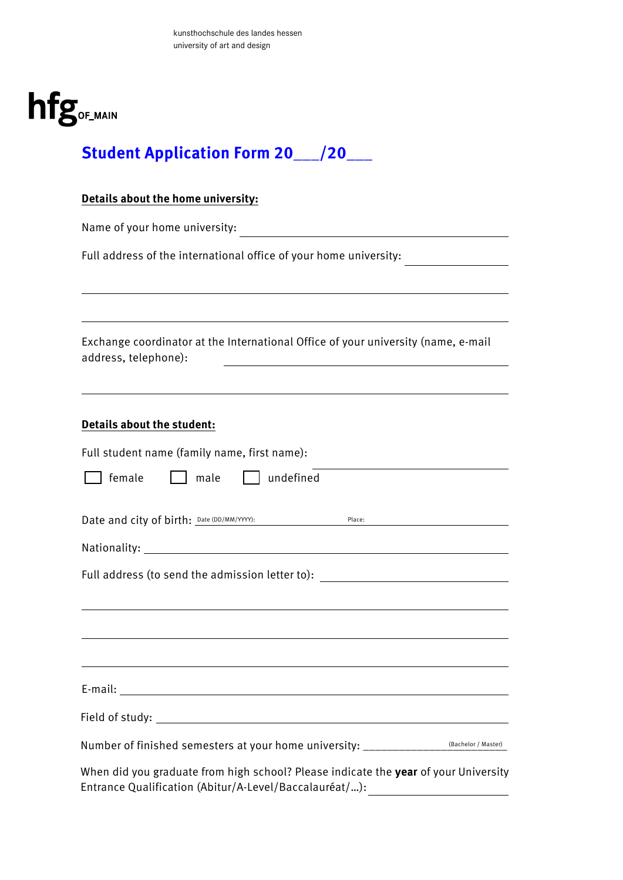

# **Student Application Form 20\_\_\_/20\_\_\_**

#### **Details about the home university:**

Name of your home university:

Full address of the international office of your home university: \_\_\_\_\_\_\_\_\_\_\_\_\_\_

Exchange coordinator at the International Office of your university (name, e-mail address, telephone):

#### **Details about the student:**

| Full student name (family name, first name):                                                                                                  |                     |
|-----------------------------------------------------------------------------------------------------------------------------------------------|---------------------|
| male<br>female<br>  undefined                                                                                                                 |                     |
| Date and city of birth: Date (DD/MM/YYYY):<br>Place:                                                                                          |                     |
|                                                                                                                                               |                     |
| Full address (to send the admission letter to): ________________________________                                                              |                     |
| the contract of the contract of the contract of the contract of the contract of the contract of the contract of                               |                     |
|                                                                                                                                               |                     |
|                                                                                                                                               |                     |
| Number of finished semesters at your home university: _______________                                                                         | (Bachelor / Master) |
| When did you graduate from high school? Please indicate the year of your University<br>Entrance Qualification (Abitur/A-Level/Baccalauréat/): |                     |